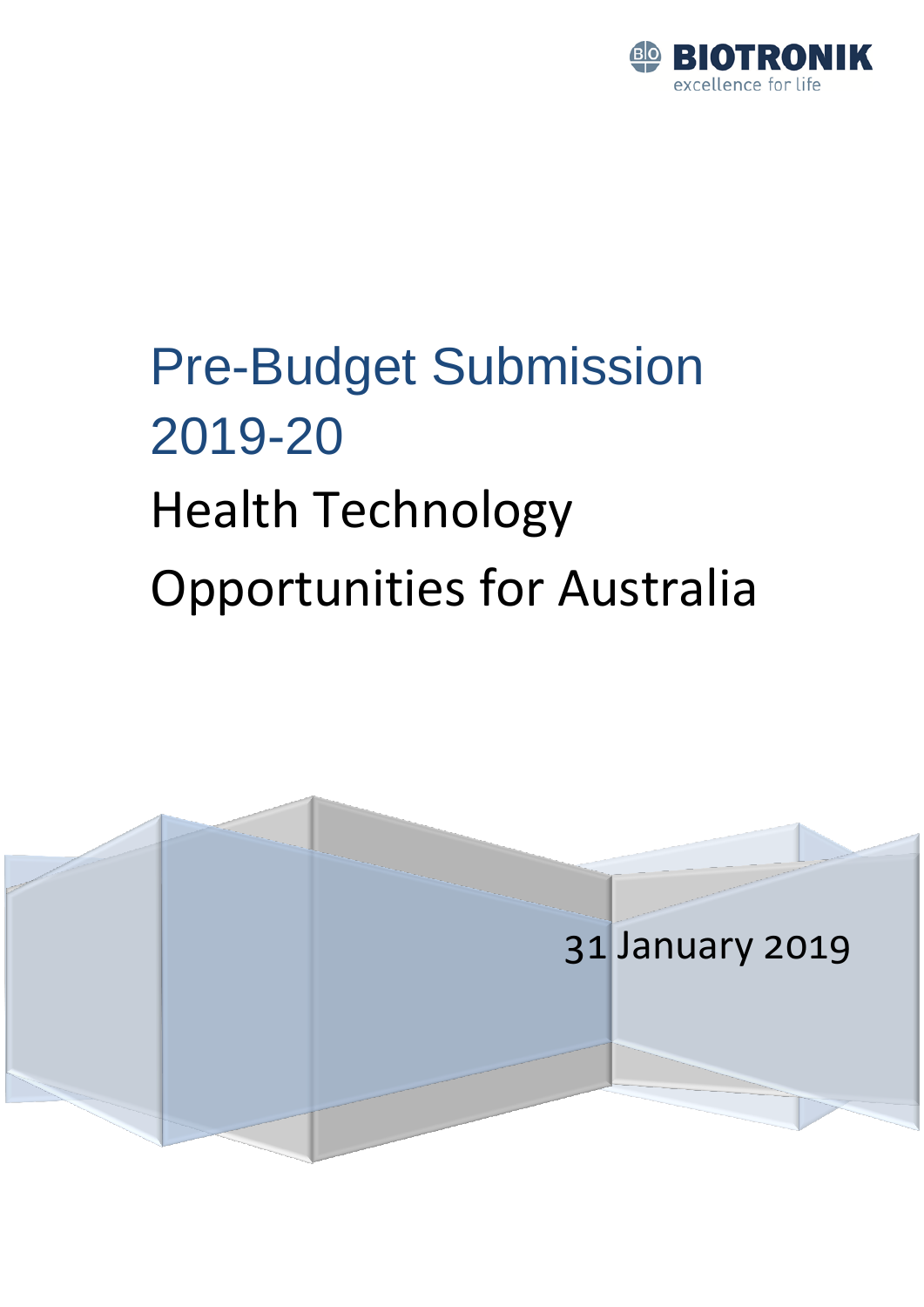

# Pre-Budget Submission 2019-20 Health Technology Opportunities for Australia

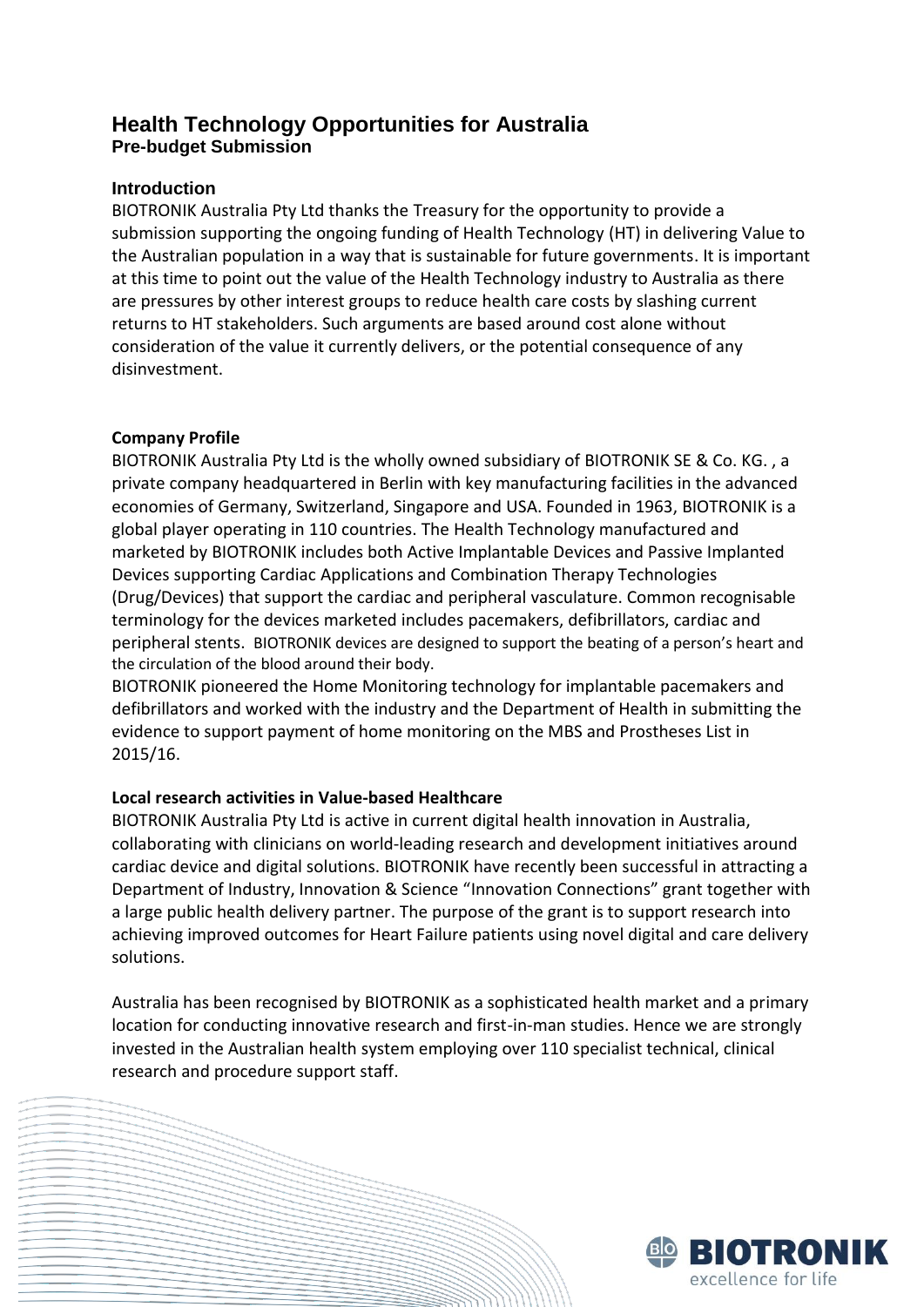### **Health Technology Opportunities for Australia Pre-budget Submission**

#### **Introduction**

BIOTRONIK Australia Pty Ltd thanks the Treasury for the opportunity to provide a submission supporting the ongoing funding of Health Technology (HT) in delivering Value to the Australian population in a way that is sustainable for future governments. It is important at this time to point out the value of the Health Technology industry to Australia as there are pressures by other interest groups to reduce health care costs by slashing current returns to HT stakeholders. Such arguments are based around cost alone without consideration of the value it currently delivers, or the potential consequence of any disinvestment.

#### **Company Profile**

BIOTRONIK Australia Pty Ltd is the wholly owned subsidiary of BIOTRONIK SE & Co. KG. , a private company headquartered in Berlin with key manufacturing facilities in the advanced economies of Germany, Switzerland, Singapore and USA. Founded in 1963, BIOTRONIK is a global player operating in 110 countries. The Health Technology manufactured and marketed by BIOTRONIK includes both Active Implantable Devices and Passive Implanted Devices supporting Cardiac Applications and Combination Therapy Technologies (Drug/Devices) that support the cardiac and peripheral vasculature. Common recognisable terminology for the devices marketed includes pacemakers, defibrillators, cardiac and peripheral stents. BIOTRONIK devices are designed to support the beating of a person's heart and the circulation of the blood around their body.

BIOTRONIK pioneered the Home Monitoring technology for implantable pacemakers and defibrillators and worked with the industry and the Department of Health in submitting the evidence to support payment of home monitoring on the MBS and Prostheses List in 2015/16.

#### **Local research activities in Value-based Healthcare**

BIOTRONIK Australia Pty Ltd is active in current digital health innovation in Australia, collaborating with clinicians on world-leading research and development initiatives around cardiac device and digital solutions. BIOTRONIK have recently been successful in attracting a Department of Industry, Innovation & Science "Innovation Connections" grant together with a large public health delivery partner. The purpose of the grant is to support research into achieving improved outcomes for Heart Failure patients using novel digital and care delivery solutions.

Australia has been recognised by BIOTRONIK as a sophisticated health market and a primary location for conducting innovative research and first-in-man studies. Hence we are strongly invested in the Australian health system employing over 110 specialist technical, clinical research and procedure support staff.

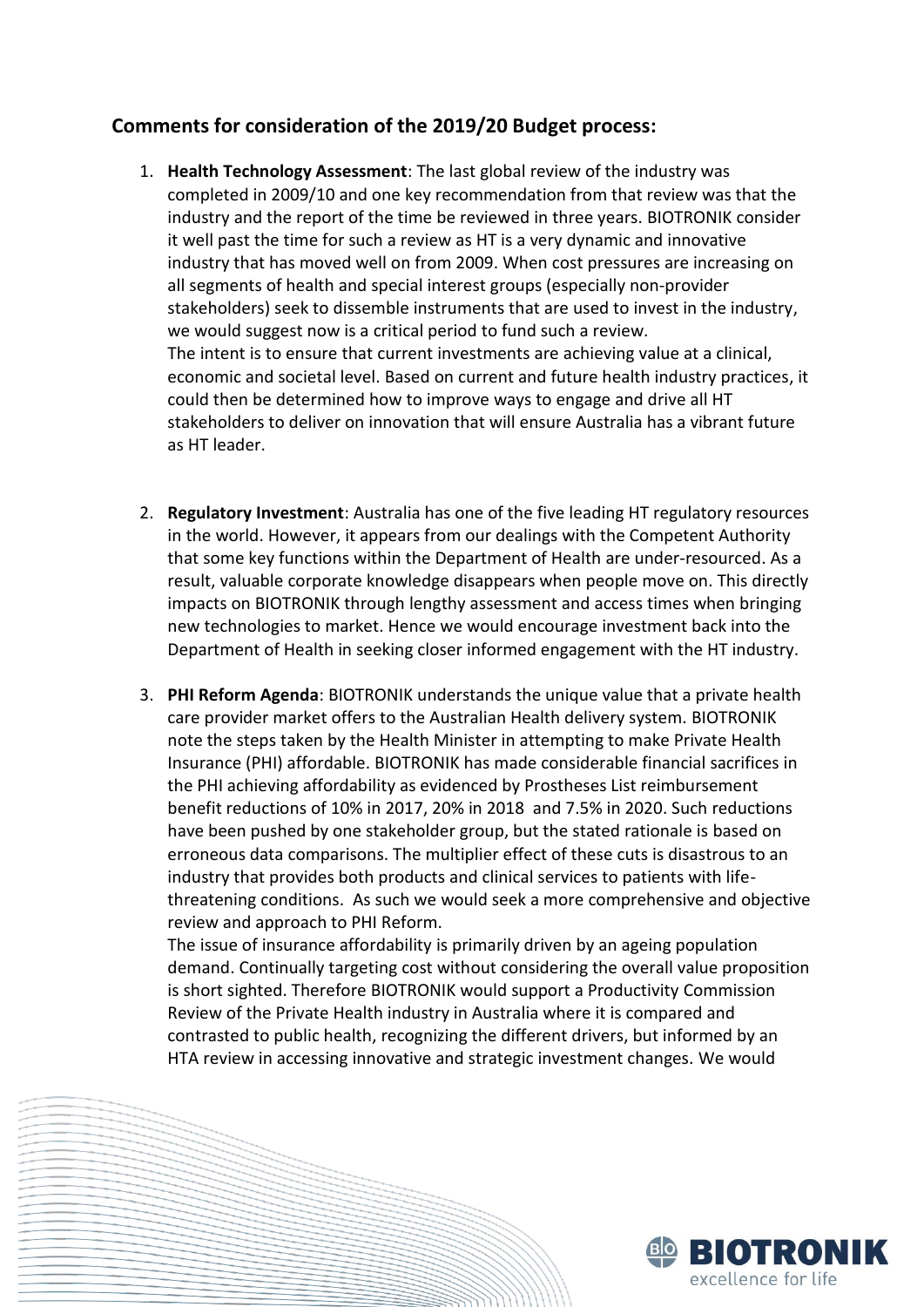## **Comments for consideration of the 2019/20 Budget process:**

- 1. **Health Technology Assessment**: The last global review of the industry was completed in 2009/10 and one key recommendation from that review was that the industry and the report of the time be reviewed in three years. BIOTRONIK consider it well past the time for such a review as HT is a very dynamic and innovative industry that has moved well on from 2009. When cost pressures are increasing on all segments of health and special interest groups (especially non-provider stakeholders) seek to dissemble instruments that are used to invest in the industry, we would suggest now is a critical period to fund such a review. The intent is to ensure that current investments are achieving value at a clinical, economic and societal level. Based on current and future health industry practices, it could then be determined how to improve ways to engage and drive all HT stakeholders to deliver on innovation that will ensure Australia has a vibrant future as HT leader.
- 2. **Regulatory Investment**: Australia has one of the five leading HT regulatory resources in the world. However, it appears from our dealings with the Competent Authority that some key functions within the Department of Health are under-resourced. As a result, valuable corporate knowledge disappears when people move on. This directly impacts on BIOTRONIK through lengthy assessment and access times when bringing new technologies to market. Hence we would encourage investment back into the Department of Health in seeking closer informed engagement with the HT industry.
- 3. **PHI Reform Agenda**: BIOTRONIK understands the unique value that a private health care provider market offers to the Australian Health delivery system. BIOTRONIK note the steps taken by the Health Minister in attempting to make Private Health Insurance (PHI) affordable. BIOTRONIK has made considerable financial sacrifices in the PHI achieving affordability as evidenced by Prostheses List reimbursement benefit reductions of 10% in 2017, 20% in 2018 and 7.5% in 2020. Such reductions have been pushed by one stakeholder group, but the stated rationale is based on erroneous data comparisons. The multiplier effect of these cuts is disastrous to an industry that provides both products and clinical services to patients with lifethreatening conditions. As such we would seek a more comprehensive and objective review and approach to PHI Reform.

The issue of insurance affordability is primarily driven by an ageing population demand. Continually targeting cost without considering the overall value proposition is short sighted. Therefore BIOTRONIK would support a Productivity Commission Review of the Private Health industry in Australia where it is compared and contrasted to public health, recognizing the different drivers, but informed by an HTA review in accessing innovative and strategic investment changes. We would